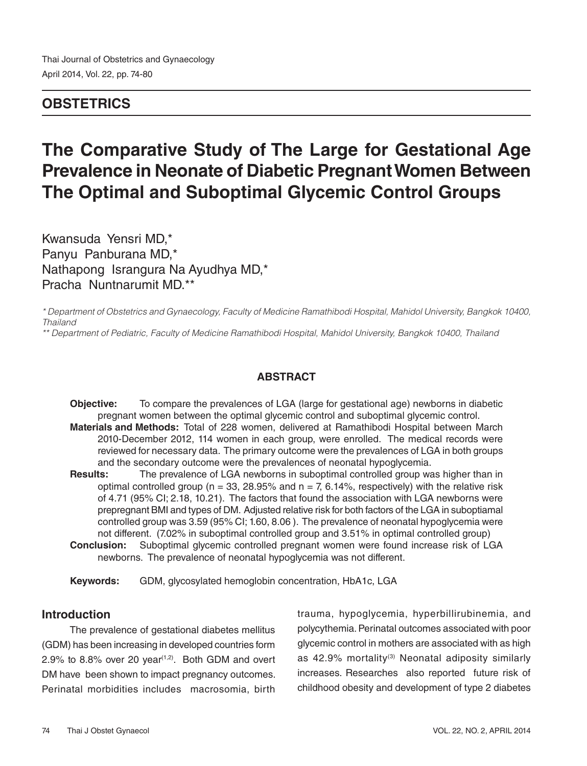# **OBSTETRICS**

# **The Comparative Study of The Large for Gestational Age Prevalence in Neonate of Diabetic Pregnant Women Between The Optimal and Suboptimal Glycemic Control Groups**

Kwansuda Yensri MD,\* Panyu Panburana MD,\* Nathapong Israngura Na Ayudhya MD,\* Pracha Nuntnarumit MD.\*\*

*\* Department of Obstetrics and Gynaecology, Faculty of Medicine Ramathibodi Hospital, Mahidol University, Bangkok 10400, Thailand*

*\*\* Department of Pediatric, Faculty of Medicine Ramathibodi Hospital, Mahidol University, Bangkok 10400, Thailand* 

### **ABSTRACT**

**Objective:** To compare the prevalences of LGA (large for gestational age) newborns in diabetic pregnant women between the optimal glycemic control and suboptimal glycemic control.

- **Materials and Methods:** Total of 228 women, delivered at Ramathibodi Hospital between March 2010-December 2012, 114 women in each group, were enrolled. The medical records were reviewed for necessary data. The primary outcome were the prevalences of LGA in both groups and the secondary outcome were the prevalences of neonatal hypoglycemia.
- **Results:** The prevalence of LGA newborns in suboptimal controlled group was higher than in optimal controlled group ( $n = 33$ , 28.95% and  $n = 7$ , 6.14%, respectively) with the relative risk of 4.71 (95% CI; 2.18, 10.21). The factors that found the association with LGA newborns were prepregnant BMI and types of DM. Adjusted relative risk for both factors of the LGA in suboptiamal controlled group was 3.59 (95% CI; 1.60, 8.06 ). The prevalence of neonatal hypoglycemia were not different. (7.02% in suboptimal controlled group and 3.51% in optimal controlled group)
- **Conclusion:** Suboptimal glycemic controlled pregnant women were found increase risk of LGA newborns. The prevalence of neonatal hypoglycemia was not different.

**Keywords:** GDM, glycosylated hemoglobin concentration, HbA1c, LGA

# **Introduction**

The prevalence of gestational diabetes mellitus (GDM) has been increasing in developed countries form 2.9% to 8.8% over 20 year<sup> $(1,2)$ </sup>. Both GDM and overt DM have been shown to impact pregnancy outcomes. Perinatal morbidities includes macrosomia, birth trauma, hypoglycemia, hyperbillirubinemia, and polycythemia. Perinatal outcomes associated with poor glycemic control in mothers are associated with as high as 42.9% mortality<sup>(3)</sup> Neonatal adiposity similarly increases. Researches also reported future risk of childhood obesity and development of type 2 diabetes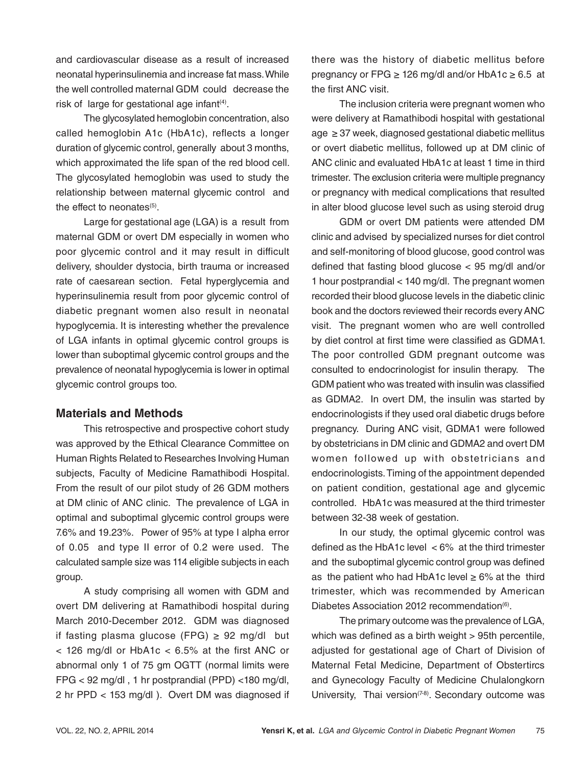and cardiovascular disease as a result of increased neonatal hyperinsulinemia and increase fat mass. While the well controlled maternal GDM could decrease the risk of large for gestational age infant<sup>(4)</sup>.

The glycosylated hemoglobin concentration, also called hemoglobin A1c (HbA1c), reflects a longer duration of glycemic control, generally about 3 months, which approximated the life span of the red blood cell. The glycosylated hemoglobin was used to study the relationship between maternal glycemic control and the effect to neonates<sup>(5)</sup>.

Large for gestational age (LGA) is a result from maternal GDM or overt DM especially in women who poor glycemic control and it may result in difficult delivery, shoulder dystocia, birth trauma or increased rate of caesarean section. Fetal hyperglycemia and hyperinsulinemia result from poor glycemic control of diabetic pregnant women also result in neonatal hypoglycemia. It is interesting whether the prevalence of LGA infants in optimal glycemic control groups is lower than suboptimal glycemic control groups and the prevalence of neonatal hypoglycemia is lower in optimal glycemic control groups too.

#### **Materials and Methods**

This retrospective and prospective cohort study was approved by the Ethical Clearance Committee on Human Rights Related to Researches Involving Human subjects, Faculty of Medicine Ramathibodi Hospital. From the result of our pilot study of 26 GDM mothers at DM clinic of ANC clinic. The prevalence of LGA in optimal and suboptimal glycemic control groups were 7.6% and 19.23%. Power of 95% at type I alpha error of 0.05 and type II error of 0.2 were used. The calculated sample size was 114 eligible subjects in each group.

A study comprising all women with GDM and overt DM delivering at Ramathibodi hospital during March 2010-December 2012. GDM was diagnosed if fasting plasma glucose (FPG)  $\geq$  92 mg/dl but < 126 mg/dl or HbA1c < 6.5% at the first ANC or abnormal only 1 of 75 gm OGTT (normal limits were FPG < 92 mg/dl , 1 hr postprandial (PPD) <180 mg/dl, 2 hr PPD < 153 mg/dl ). Overt DM was diagnosed if

there was the history of diabetic mellitus before pregnancy or FPG  $\geq$  126 mg/dl and/or HbA1c  $\geq$  6.5 at the first ANC visit.

The inclusion criteria were pregnant women who were delivery at Ramathibodi hospital with gestational age ≥ 37 week, diagnosed gestational diabetic mellitus or overt diabetic mellitus, followed up at DM clinic of ANC clinic and evaluated HbA1c at least 1 time in third trimester. The exclusion criteria were multiple pregnancy or pregnancy with medical complications that resulted in alter blood glucose level such as using steroid drug

GDM or overt DM patients were attended DM clinic and advised by specialized nurses for diet control and self-monitoring of blood glucose, good control was defined that fasting blood glucose < 95 mg/dl and/or 1 hour postprandial < 140 mg/dl. The pregnant women recorded their blood glucose levels in the diabetic clinic book and the doctors reviewed their records every ANC visit. The pregnant women who are well controlled by diet control at first time were classified as GDMA1. The poor controlled GDM pregnant outcome was consulted to endocrinologist for insulin therapy. The GDM patient who was treated with insulin was classified as GDMA2. In overt DM, the insulin was started by endocrinologists if they used oral diabetic drugs before pregnancy. During ANC visit, GDMA1 were followed by obstetricians in DM clinic and GDMA2 and overt DM women followed up with obstetricians and endocrinologists. Timing of the appointment depended on patient condition, gestational age and glycemic controlled. HbA1c was measured at the third trimester between 32-38 week of gestation.

In our study, the optimal glycemic control was defined as the HbA1c level < 6% at the third trimester and the suboptimal glycemic control group was defined as the patient who had HbA1c level  $\geq 6\%$  at the third trimester, which was recommended by American Diabetes Association 2012 recommendation<sup>(6)</sup>.

The primary outcome was the prevalence of LGA, which was defined as a birth weight > 95th percentile, adjusted for gestational age of Chart of Division of Maternal Fetal Medicine, Department of Obstertircs and Gynecology Faculty of Medicine Chulalongkorn University, Thai version $(7-8)$ . Secondary outcome was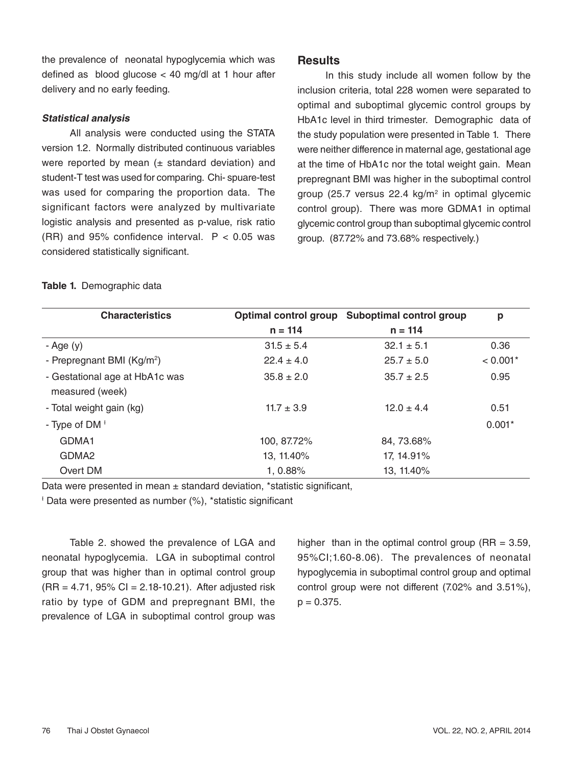the prevalence of neonatal hypoglycemia which was defined as blood glucose < 40 mg/dl at 1 hour after delivery and no early feeding.

#### **Statistical analysis**

All analysis were conducted using the STATA version 1.2. Normally distributed continuous variables were reported by mean  $(\pm$  standard deviation) and student-T test was used for comparing. Chi- spuare-test was used for comparing the proportion data. The significant factors were analyzed by multivariate logistic analysis and presented as p-value, risk ratio (RR) and 95% confidence interval.  $P < 0.05$  was considered statistically significant.

### **Results**

In this study include all women follow by the inclusion criteria, total 228 women were separated to optimal and suboptimal glycemic control groups by HbA1c level in third trimester. Demographic data of the study population were presented in Table 1. There were neither difference in maternal age, gestational age at the time of HbA1c nor the total weight gain. Mean prepregnant BMI was higher in the suboptimal control group (25.7 versus  $22.4 \text{ kg/m}^2$  in optimal glycemic control group). There was more GDMA1 in optimal glycemic control group than suboptimal glycemic control group. (87.72% and 73.68% respectively.)

|  | Table 1. Demographic data |  |
|--|---------------------------|--|
|--|---------------------------|--|

| <b>Characteristics</b>                            |                | Optimal control group Suboptimal control group | p          |
|---------------------------------------------------|----------------|------------------------------------------------|------------|
|                                                   | $n = 114$      | $n = 114$                                      |            |
| - Age $(y)$                                       | $31.5 \pm 5.4$ | $32.1 \pm 5.1$                                 | 0.36       |
| - Prepregnant BMI (Kg/m <sup>2</sup> )            | $22.4 \pm 4.0$ | $25.7 \pm 5.0$                                 | $< 0.001*$ |
| - Gestational age at HbA1c was<br>measured (week) | $35.8 \pm 2.0$ | $35.7 \pm 2.5$                                 | 0.95       |
| - Total weight gain (kg)                          | $11.7 \pm 3.9$ | $12.0 \pm 4.4$                                 | 0.51       |
| - Type of $DM^{\perp}$                            |                |                                                | $0.001*$   |
| GDMA1                                             | 100, 87.72%    | 84, 73.68%                                     |            |
| GDMA <sub>2</sub>                                 | 13, 11.40%     | 17, 14.91%                                     |            |
| Overt DM                                          | 1, 0.88%       | 13, 11.40%                                     |            |

Data were presented in mean  $\pm$  standard deviation, \*statistic significant,

<sup>1</sup> Data were presented as number (%), \*statistic significant

Table 2. showed the prevalence of LGA and neonatal hypoglycemia. LGA in suboptimal control group that was higher than in optimal control group  $(RR = 4.71, 95\% CI = 2.18-10.21)$ . After adjusted risk ratio by type of GDM and prepregnant BMI, the prevalence of LGA in suboptimal control group was higher than in the optimal control group ( $RR = 3.59$ , 95%CI;1.60-8.06). The prevalences of neonatal hypoglycemia in suboptimal control group and optimal control group were not different (7.02% and 3.51%),  $p = 0.375$ .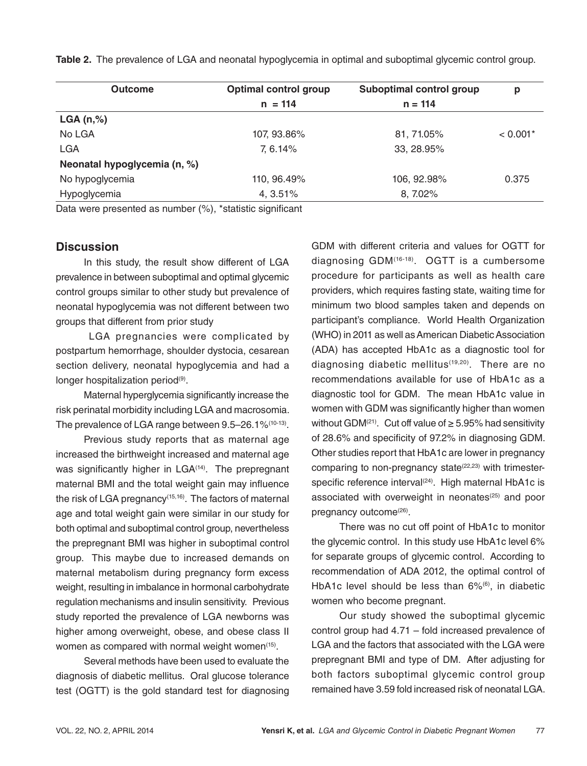| <b>Outcome</b>               | <b>Optimal control group</b> | Suboptimal control group | р          |
|------------------------------|------------------------------|--------------------------|------------|
|                              | $n = 114$                    | $n = 114$                |            |
| LGA(n,%)                     |                              |                          |            |
| No LGA                       | 107, 93.86%                  | 81, 71.05%               | $< 0.001*$ |
| <b>LGA</b>                   | 7,6.14%                      | 33, 28.95%               |            |
| Neonatal hypoglycemia (n, %) |                              |                          |            |
| No hypoglycemia              | 110, 96.49%                  | 106, 92.98%              | 0.375      |
| Hypoglycemia                 | 4, 3.51%                     | 8, 7.02%                 |            |

**Table 2.** The prevalence of LGA and neonatal hypoglycemia in optimal and suboptimal glycemic control group.

Data were presented as number (%), \*statistic significant

#### **Discussion**

In this study, the result show different of LGA prevalence in between suboptimal and optimal glycemic control groups similar to other study but prevalence of neonatal hypoglycemia was not different between two groups that different from prior study

 LGA pregnancies were complicated by postpartum hemorrhage, shoulder dystocia, cesarean section delivery, neonatal hypoglycemia and had a longer hospitalization period<sup>(9)</sup>.

Maternal hyperglycemia significantly increase the risk perinatal morbidity including LGA and macrosomia. The prevalence of LGA range between 9.5–26.1%(10-13).

Previous study reports that as maternal age increased the birthweight increased and maternal age was significantly higher in LGA<sup>(14)</sup>. The prepregnant maternal BMI and the total weight gain may influence the risk of LGA pregnancy(15,16). The factors of maternal age and total weight gain were similar in our study for both optimal and suboptimal control group, nevertheless the prepregnant BMI was higher in suboptimal control group. This maybe due to increased demands on maternal metabolism during pregnancy form excess weight, resulting in imbalance in hormonal carbohydrate regulation mechanisms and insulin sensitivity. Previous study reported the prevalence of LGA newborns was higher among overweight, obese, and obese class II women as compared with normal weight women<sup>(15)</sup>.

Several methods have been used to evaluate the diagnosis of diabetic mellitus. Oral glucose tolerance test (OGTT) is the gold standard test for diagnosing GDM with different criteria and values for OGTT for diagnosing GDM(16-18). OGTT is a cumbersome procedure for participants as well as health care providers, which requires fasting state, waiting time for minimum two blood samples taken and depends on participant's compliance. World Health Organization (WHO) in 2011 as well as American Diabetic Association (ADA) has accepted HbA1c as a diagnostic tool for diagnosing diabetic mellitus<sup>(19,20)</sup>. There are no recommendations available for use of HbA1c as a diagnostic tool for GDM. The mean HbA1c value in women with GDM was significantly higher than women without GDM(<sup>21)</sup>. Cut off value of  $\geq$  5.95% had sensitivity of 28.6% and specificity of 97.2% in diagnosing GDM. Other studies report that HbA1c are lower in pregnancy comparing to non-pregnancy state $(22,23)$  with trimesterspecific reference interval<sup>(24)</sup>. High maternal HbA1c is associated with overweight in neonates<sup>(25)</sup> and poor pregnancy outcome<sup>(26)</sup>.

There was no cut off point of HbA1c to monitor the glycemic control. In this study use HbA1c level 6% for separate groups of glycemic control. According to recommendation of ADA 2012, the optimal control of HbA1c level should be less than 6%<sup>(6)</sup>, in diabetic women who become pregnant.

Our study showed the suboptimal glycemic control group had 4.71 – fold increased prevalence of LGA and the factors that associated with the LGA were prepregnant BMI and type of DM. After adjusting for both factors suboptimal glycemic control group remained have 3.59 fold increased risk of neonatal LGA.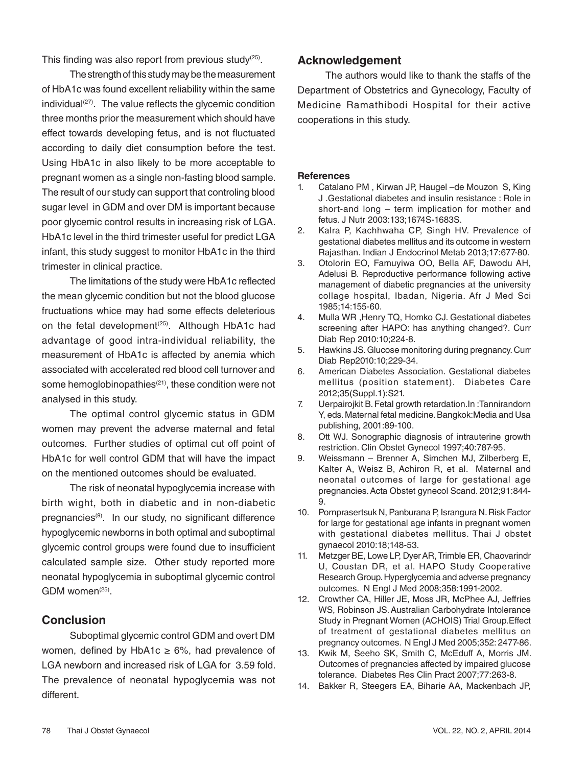This finding was also report from previous study $(25)$ .

The strength of this study may be the measurement of HbA1c was found excellent reliability within the same individual $(27)$ . The value reflects the glycemic condition three months prior the measurement which should have effect towards developing fetus, and is not fluctuated according to daily diet consumption before the test. Using HbA1c in also likely to be more acceptable to pregnant women as a single non-fasting blood sample. The result of our study can support that controling blood sugar level in GDM and over DM is important because poor glycemic control results in increasing risk of LGA. HbA1c level in the third trimester useful for predict LGA infant, this study suggest to monitor HbA1c in the third trimester in clinical practice.

The limitations of the study were HbA1c reflected the mean glycemic condition but not the blood glucose fructuations whice may had some effects deleterious on the fetal development<sup>(25)</sup>. Although HbA1c had advantage of good intra-individual reliability, the measurement of HbA1c is affected by anemia which associated with accelerated red blood cell turnover and some hemoglobinopathies<sup>(21)</sup>, these condition were not analysed in this study.

The optimal control glycemic status in GDM women may prevent the adverse maternal and fetal outcomes. Further studies of optimal cut off point of HbA1c for well control GDM that will have the impact on the mentioned outcomes should be evaluated.

The risk of neonatal hypoglycemia increase with birth wight, both in diabetic and in non-diabetic pregnancies(9). In our study, no significant difference hypoglycemic newborns in both optimal and suboptimal glycemic control groups were found due to insufficient calculated sample size. Other study reported more neonatal hypoglycemia in suboptimal glycemic control GDM women<sup>(25)</sup>

# **Conclusion**

Suboptimal glycemic control GDM and overt DM women, defined by HbA1c  $\geq$  6%, had prevalence of LGA newborn and increased risk of LGA for 3.59 fold. The prevalence of neonatal hypoglycemia was not different.

## **Acknowledgement**

The authors would like to thank the staffs of the Department of Obstetrics and Gynecology, Faculty of Medicine Ramathibodi Hospital for their active cooperations in this study.

#### **References**

- 1. Catalano PM , Kirwan JP, Haugel –de Mouzon S, King J .Gestational diabetes and insulin resistance : Role in short-and long – term implication for mother and fetus. J Nutr 2003:133;1674S-1683S.
- 2. Kalra P, Kachhwaha CP, Singh HV. Prevalence of gestational diabetes mellitus and its outcome in western Rajasthan. Indian J Endocrinol Metab 2013;17:677-80.
- 3. Otolorin EO, Famuyiwa OO, Bella AF, Dawodu AH, Adelusi B. Reproductive performance following active management of diabetic pregnancies at the university collage hospital, Ibadan, Nigeria. Afr J Med Sci 1985;14:155-60.
- 4. Mulla WR ,Henry TQ, Homko CJ. Gestational diabetes screening after HAPO: has anything changed?. Curr Diab Rep 2010:10;224-8.
- 5. Hawkins JS. Glucose monitoring during pregnancy. Curr Diab Rep2010:10;229-34.
- 6. American Diabetes Association. Gestational diabetes mellitus (position statement). Diabetes Care 2012;35(Suppl.1):S21.
- 7. Uerpairojkit B. Fetal growth retardation.In :Tannirandorn Y, eds. Maternal fetal medicine. Bangkok:Media and Usa publishing, 2001:89-100.
- 8. Ott WJ. Sonographic diagnosis of intrauterine growth restriction. Clin Obstet Gynecol 1997;40:787-95.
- 9. Weissmann Brenner A, Simchen MJ, Zilberberg E, Kalter A, Weisz B, Achiron R, et al. Maternal and neonatal outcomes of large for gestational age pregnancies. Acta Obstet gynecol Scand. 2012;91:844- 9.
- 10. Pornprasertsuk N, Panburana P, Israngura N. Risk Factor for large for gestational age infants in pregnant women with gestational diabetes mellitus. Thai J obstet gynaecol 2010:18;148-53.
- 11. Metzger BE, Lowe LP, Dyer AR, Trimble ER, Chaovarindr U, Coustan DR, et al. HAPO Study Cooperative Research Group. Hyperglycemia and adverse pregnancy outcomes. N Engl J Med 2008;358:1991-2002.
- 12. Crowther CA, Hiller JE, Moss JR, McPhee AJ, Jeffries WS, Robinson JS. Australian Carbohydrate Intolerance Study in Pregnant Women (ACHOIS) Trial Group.Effect of treatment of gestational diabetes mellitus on pregnancy outcomes. N Engl J Med 2005;352: 2477-86.
- 13. Kwik M, Seeho SK, Smith C, McEduff A, Morris JM. Outcomes of pregnancies affected by impaired glucose tolerance. Diabetes Res Clin Pract 2007;77:263-8.
- 14. Bakker R, Steegers EA, Biharie AA, Mackenbach JP,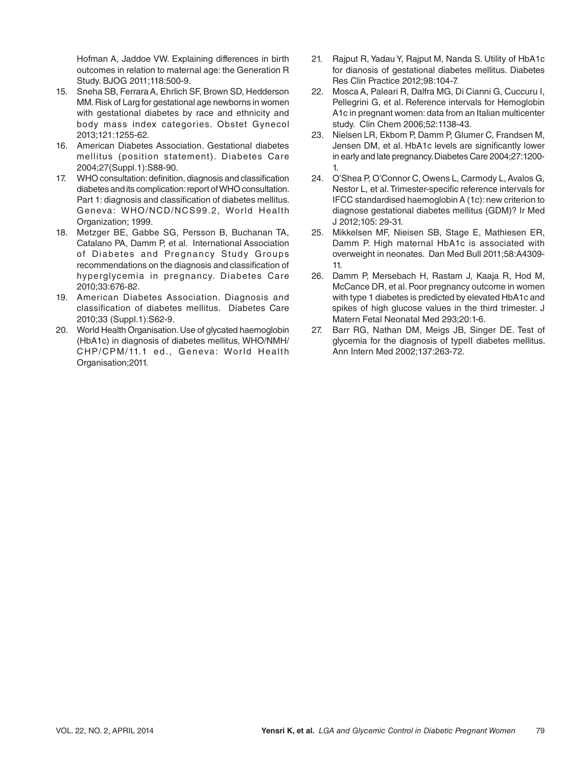Hofman A, Jaddoe VW. Explaining differences in birth outcomes in relation to maternal age: the Generation R Study. BJOG 2011;118:500-9.

- 15. Sneha SB, Ferrara A, Ehrlich SF, Brown SD, Hedderson MM. Risk of Larg for gestational age newborns in women with gestational diabetes by race and ethnicity and body mass index categories. Obstet Gynecol 2013;121:1255-62.
- 16. American Diabetes Association. Gestational diabetes mellitus (position statement). Diabetes Care 2004;27(Suppl.1):S88-90.
- 17. WHO consultation: definition, diagnosis and classification diabetes and its complication: report of WHO consultation. Part 1: diagnosis and classification of diabetes mellitus. Geneva: WHO/NCD/NCS99.2, World Health Organization; 1999.
- 18. Metzger BE, Gabbe SG, Persson B, Buchanan TA, Catalano PA, Damm P, et al. International Association of Diabetes and Pregnancy Study Groups recommendations on the diagnosis and classification of hyperglycemia in pregnancy. Diabetes Care 2010;33:676-82.
- 19. American Diabetes Association. Diagnosis and classification of diabetes mellitus. Diabetes Care 2010;33 (Suppl.1):S62-9.
- 20. World Health Organisation. Use of glycated haemoglobin (HbA1c) in diagnosis of diabetes mellitus, WHO/NMH/ CHP/CPM/11.1 ed., Geneva: World Health Organisation;2011.
- 21. Rajput R, Yadau Y, Rajput M, Nanda S. Utility of HbA1c for dianosis of gestational diabetes mellitus. Diabetes Res Clin Practice 2012;98:104-7.
- 22. Mosca A, Paleari R, Dalfra MG, Di Cianni G, Cuccuru I, Pellegrini G, et al. Reference intervals for Hemoglobin A1c in pregnant women: data from an Italian multicenter study. Clin Chem 2006;52:1138-43.
- 23. Nielsen LR, Ekbom P, Damm P, Glumer C, Frandsen M, Jensen DM, et al. HbA1c levels are significantly lower in early and late pregnancy. Diabetes Care 2004;27:1200- 1.
- 24. O'Shea P, O'Connor C, Owens L, Carmody L, Avalos G, Nestor L, et al. Trimester-specific reference intervals for IFCC standardised haemoglobin A (1c): new criterion to diagnose gestational diabetes mellitus (GDM)? Ir Med J 2012;105: 29-31.
- 25. Mikkelsen MF, Nieisen SB, Stage E, Mathiesen ER, Damm P. High maternal HbA1c is associated with overweight in neonates. Dan Med Bull 2011;58:A4309- 11.
- 26. Damm P, Mersebach H, Rastam J, Kaaja R, Hod M, McCance DR, et al. Poor pregnancy outcome in women with type 1 diabetes is predicted by elevated HbA1c and spikes of high glucose values in the third trimester. J Matern Fetal Neonatal Med 293;20:1-6.
- 27. Barr RG, Nathan DM, Meigs JB, Singer DE. Test of glycemia for the diagnosis of typeII diabetes mellitus. Ann Intern Med 2002;137:263-72.